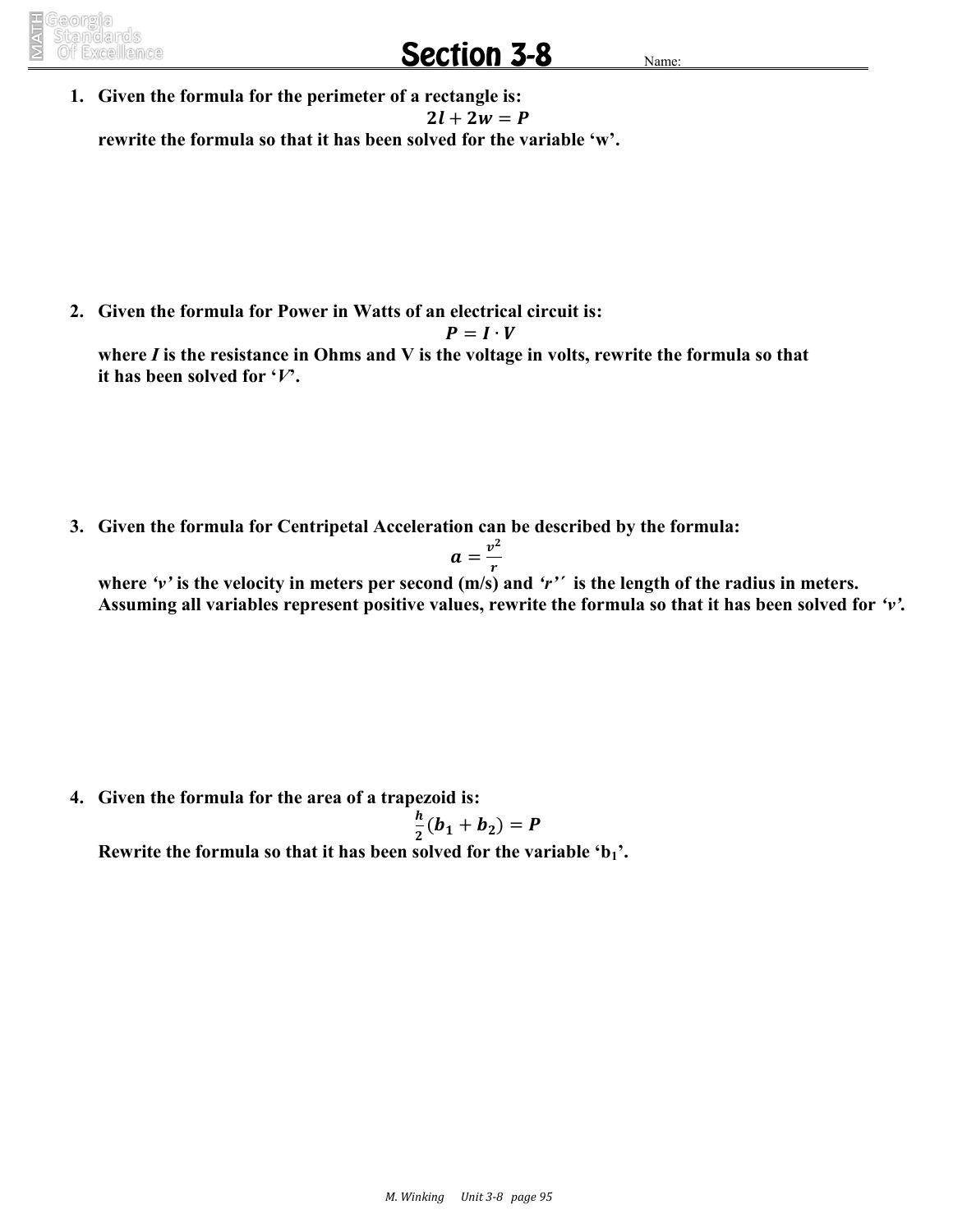## **Section 3-8**

**1. Given the formula for the perimeter of a rectangle is:**  $2l + 2w = P$ **rewrite the formula so that it has been solved for the variable 'w'.**

**2. Given the formula for Power in Watts of an electrical circuit is:**

$$
P=I\cdot V
$$

**where** *I* **is the resistance in Ohms and V is the voltage in volts, rewrite the formula so that it has been solved for '***V***'.**

**3. Given the formula for Centripetal Acceleration can be described by the formula:**

$$
a=\frac{v^2}{r}
$$

**where** *'v'* **is the velocity in meters per second (m/s) and** *'r'´* **is the length of the radius in meters. Assuming all variables represent positive values, rewrite the formula so that it has been solved for** *'v'.*

**4. Given the formula for the area of a trapezoid is:**

$$
\frac{h}{2}(b_1+b_2)=P
$$

**Rewrite the formula so that it has been solved for the variable 'b1'.**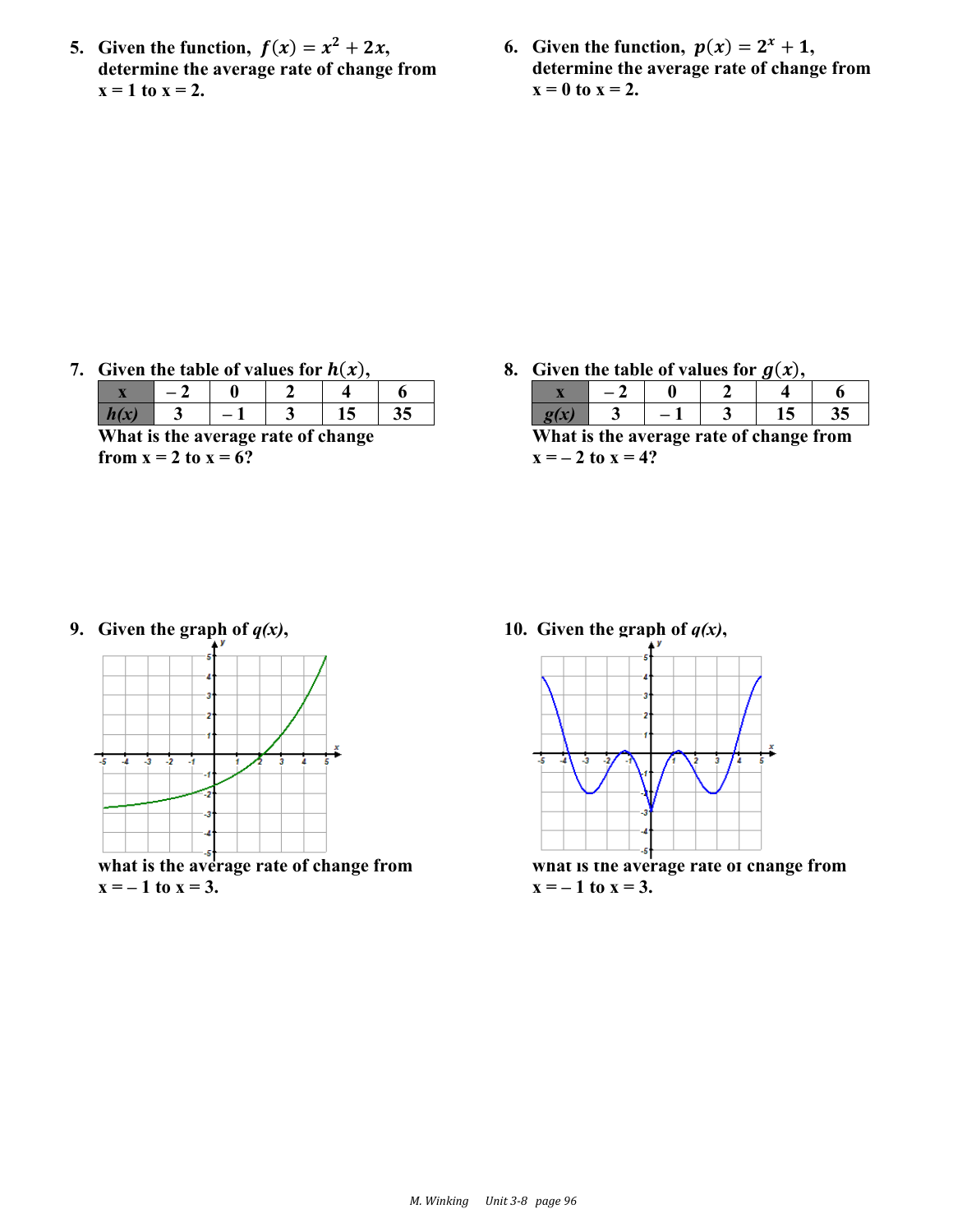- **5.** Given the function,  $f(x) = x^2 + 2x$ , **determine the average rate of change from**   $x = 1$  to  $x = 2$ .
- **6.** Given the function,  $p(x) = 2^x + 1$ , **determine the average rate of change from**   $x = 0$  **to**  $x = 2$ .

7. Given the table of values for  $h(x)$ ,

| e<br>---------------<br>. <i>.</i><br>.<br>--------- |  |  |  |  |  |  |  |  |
|------------------------------------------------------|--|--|--|--|--|--|--|--|

**What is the average rate of change from**  $x = 2$  **to**  $x = 6$ **?** 

**8.** Given the table of values for  $g(x)$ ,

|  |  | ∸ ⊾ |  |
|--|--|-----|--|

**What is the average rate of change from**   $x = -2$  **to**  $x = 4$ ?

9. Given the graph of  $q(x)$ ,



**what is the average rate of change from**   $x = -1$  to  $x = 3$ .

**10.** Given the graph of  $q(x)$ ,



**what is the average rate of change from**   $x = -1$  to  $x = 3$ .